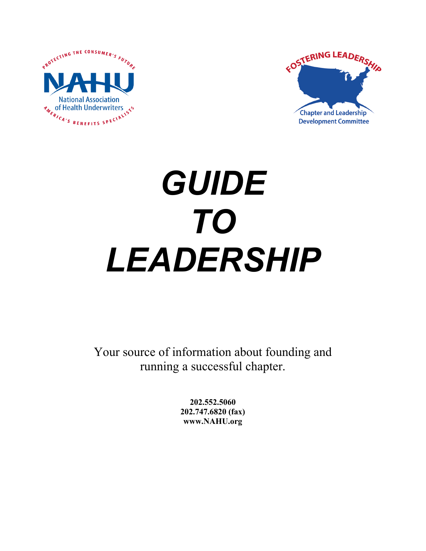



# *GUIDE TO LEADERSHIP*

Your source of information about founding and running a successful chapter.

> **202.552.5060 202.747.6820 (fax) www.NAHU.org**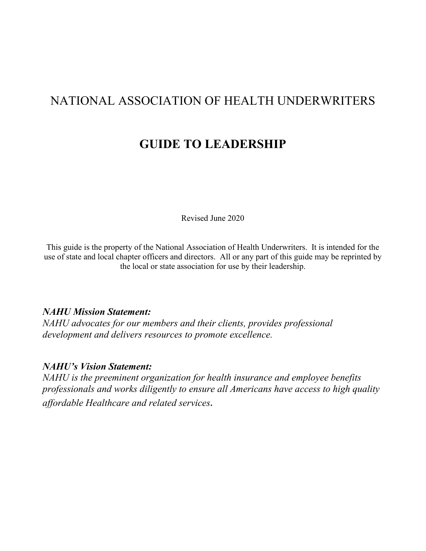# NATIONAL ASSOCIATION OF HEALTH UNDERWRITERS

# **GUIDE TO LEADERSHIP**

Revised June 2020

This guide is the property of the National Association of Health Underwriters. It is intended for the use of state and local chapter officers and directors. All or any part of this guide may be reprinted by the local or state association for use by their leadership.

#### *NAHU Mission Statement:*

*NAHU advocates for our members and their clients, provides professional development and delivers resources to promote excellence.*

#### *NAHU's Vision Statement:*

*NAHU is the preeminent organization for health insurance and employee benefits professionals and works diligently to ensure all Americans have access to high quality affordable Healthcare and related services.*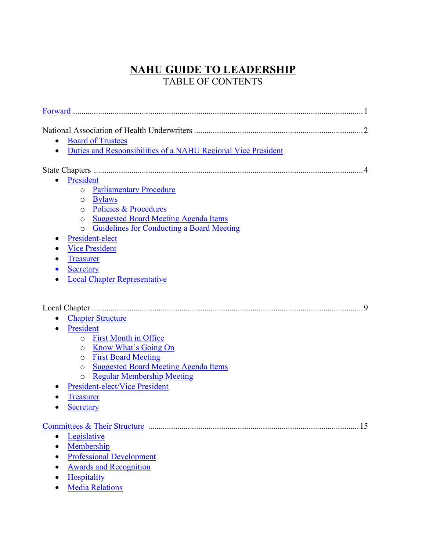## **NAHU GUIDE TO LEADERSHIP** TABLE OF CONTENTS

| <b>Board of Trustees</b><br>$\bullet$                                      |
|----------------------------------------------------------------------------|
| Duties and Responsibilities of a NAHU Regional Vice President<br>$\bullet$ |
|                                                                            |
|                                                                            |
| President                                                                  |
| <b>Parliamentary Procedure</b><br>$\circ$                                  |
| <b>Bylaws</b><br>O                                                         |
| Policies & Procedures<br>O                                                 |
| <b>Suggested Board Meeting Agenda Items</b><br>$\circ$                     |
| <b>Guidelines for Conducting a Board Meeting</b><br>$\circ$                |
| President-elect                                                            |
| <b>Vice President</b><br>$\bullet$                                         |
| <b>Treasurer</b>                                                           |
| <b>Secretary</b>                                                           |
| <b>Local Chapter Representative</b>                                        |
|                                                                            |
| -9                                                                         |
| <b>Chapter Structure</b>                                                   |
| President                                                                  |
| o First Month in Office                                                    |
| Know What's Going On<br>O                                                  |
| <b>First Board Meeting</b><br>$\circ$                                      |
| <b>Suggested Board Meeting Agenda Items</b><br>$\circ$                     |
| <b>Regular Membership Meeting</b><br>$\circ$                               |
| President-elect/Vice President                                             |
| <b>Treasurer</b>                                                           |
| <b>Secretary</b>                                                           |
|                                                                            |
|                                                                            |
| Legislative<br>$\bullet$                                                   |
| Membership<br>$\bullet$                                                    |
| <b>Professional Development</b>                                            |
| <b>Awards and Recognition</b><br>$\bullet$                                 |
| Hospitality                                                                |
| <b>Media Relations</b>                                                     |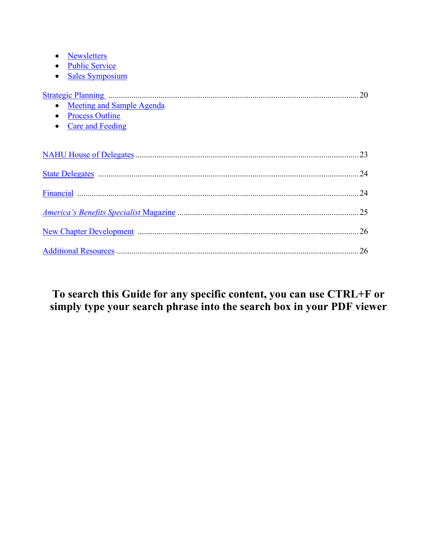| <b>Newsletters</b>                                                                                                    |     |
|-----------------------------------------------------------------------------------------------------------------------|-----|
| <b>Public Service</b><br>$\bullet$                                                                                    |     |
| <b>Sales Symposium</b>                                                                                                |     |
| Meeting and Sample Agenda<br>$\bullet$<br><b>Process Outline</b><br>$\bullet$<br><b>Care and Feeding</b><br>$\bullet$ | .20 |
|                                                                                                                       |     |
|                                                                                                                       |     |
|                                                                                                                       |     |
|                                                                                                                       |     |
|                                                                                                                       |     |
|                                                                                                                       |     |

# **To search this Guide for any specific content, you can use CTRL+F or simply type your search phrase into the search box in your PDF viewer**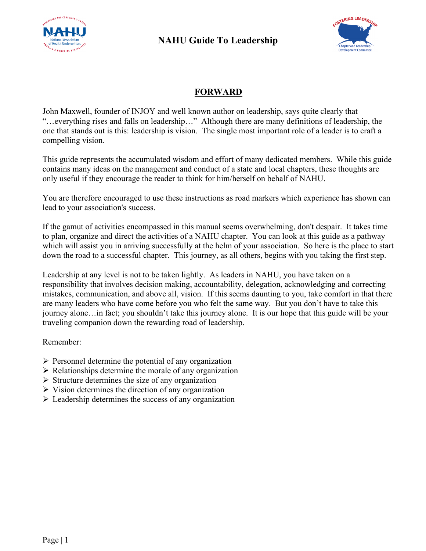



## **FORWARD**

John Maxwell, founder of INJOY and well known author on leadership, says quite clearly that "…everything rises and falls on leadership…" Although there are many definitions of leadership, the one that stands out is this: leadership is vision. The single most important role of a leader is to craft a compelling vision.

This guide represents the accumulated wisdom and effort of many dedicated members. While this guide contains many ideas on the management and conduct of a state and local chapters, these thoughts are only useful if they encourage the reader to think for him/herself on behalf of NAHU.

You are therefore encouraged to use these instructions as road markers which experience has shown can lead to your association's success.

If the gamut of activities encompassed in this manual seems overwhelming, don't despair. It takes time to plan, organize and direct the activities of a NAHU chapter. You can look at this guide as a pathway which will assist you in arriving successfully at the helm of your association. So here is the place to start down the road to a successful chapter. This journey, as all others, begins with you taking the first step.

Leadership at any level is not to be taken lightly. As leaders in NAHU, you have taken on a responsibility that involves decision making, accountability, delegation, acknowledging and correcting mistakes, communication, and above all, vision. If this seems daunting to you, take comfort in that there are many leaders who have come before you who felt the same way. But you don't have to take this journey alone…in fact; you shouldn't take this journey alone. It is our hope that this guide will be your traveling companion down the rewarding road of leadership.

Remember:

- $\triangleright$  Personnel determine the potential of any organization
- $\triangleright$  Relationships determine the morale of any organization
- $\triangleright$  Structure determines the size of any organization
- $\triangleright$  Vision determines the direction of any organization
- $\triangleright$  Leadership determines the success of any organization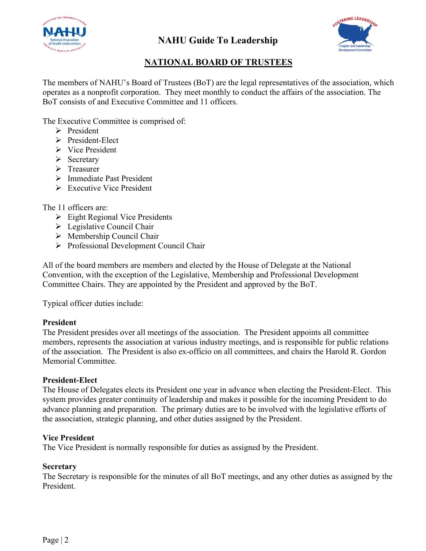



## **NATIONAL BOARD OF TRUSTEES**

The members of NAHU's Board of Trustees (BoT) are the legal representatives of the association, which operates as a nonprofit corporation. They meet monthly to conduct the affairs of the association. The BoT consists of and Executive Committee and 11 officers.

The Executive Committee is comprised of:

- $\triangleright$  President
- $\triangleright$  President-Elect
- $\triangleright$  Vice President
- $\triangleright$  Secretary
- > Treasurer
- > Immediate Past President
- $\triangleright$  Executive Vice President

The 11 officers are:

- $\triangleright$  Eight Regional Vice Presidents
- $\triangleright$  Legislative Council Chair
- $\triangleright$  Membership Council Chair
- Professional Development Council Chair

All of the board members are members and elected by the House of Delegate at the National Convention, with the exception of the Legislative, Membership and Professional Development Committee Chairs. They are appointed by the President and approved by the BoT.

Typical officer duties include:

#### **President**

The President presides over all meetings of the association. The President appoints all committee members, represents the association at various industry meetings, and is responsible for public relations of the association. The President is also ex-officio on all committees, and chairs the Harold R. Gordon Memorial Committee.

#### **President-Elect**

The House of Delegates elects its President one year in advance when electing the President-Elect. This system provides greater continuity of leadership and makes it possible for the incoming President to do advance planning and preparation. The primary duties are to be involved with the legislative efforts of the association, strategic planning, and other duties assigned by the President.

#### **Vice President**

The Vice President is normally responsible for duties as assigned by the President.

#### **Secretary**

The Secretary is responsible for the minutes of all BoT meetings, and any other duties as assigned by the President.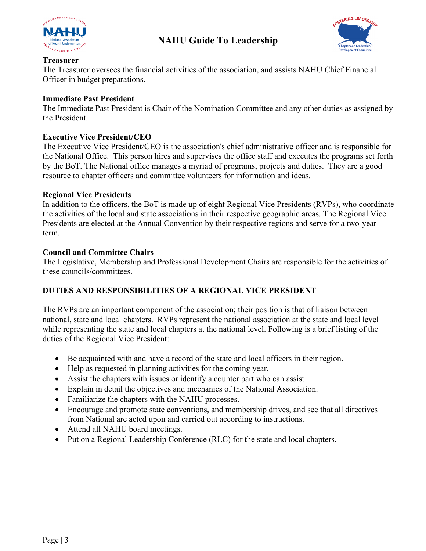



#### **Treasurer**

The Treasurer oversees the financial activities of the association, and assists NAHU Chief Financial Officer in budget preparations.

#### **Immediate Past President**

The Immediate Past President is Chair of the Nomination Committee and any other duties as assigned by the President.

#### **Executive Vice President/CEO**

The Executive Vice President/CEO is the association's chief administrative officer and is responsible for the National Office. This person hires and supervises the office staff and executes the programs set forth by the BoT. The National office manages a myriad of programs, projects and duties. They are a good resource to chapter officers and committee volunteers for information and ideas.

#### **Regional Vice Presidents**

In addition to the officers, the BoT is made up of eight Regional Vice Presidents (RVPs), who coordinate the activities of the local and state associations in their respective geographic areas. The Regional Vice Presidents are elected at the Annual Convention by their respective regions and serve for a two-year term.

#### **Council and Committee Chairs**

The Legislative, Membership and Professional Development Chairs are responsible for the activities of these councils/committees.

#### **DUTIES AND RESPONSIBILITIES OF A REGIONAL VICE PRESIDENT**

The RVPs are an important component of the association; their position is that of liaison between national, state and local chapters. RVPs represent the national association at the state and local level while representing the state and local chapters at the national level. Following is a brief listing of the duties of the Regional Vice President:

- Be acquainted with and have a record of the state and local officers in their region.
- Help as requested in planning activities for the coming year.
- Assist the chapters with issues or identify a counter part who can assist
- Explain in detail the objectives and mechanics of the National Association.
- Familiarize the chapters with the NAHU processes.
- Encourage and promote state conventions, and membership drives, and see that all directives from National are acted upon and carried out according to instructions.
- Attend all NAHU board meetings.
- Put on a Regional Leadership Conference (RLC) for the state and local chapters.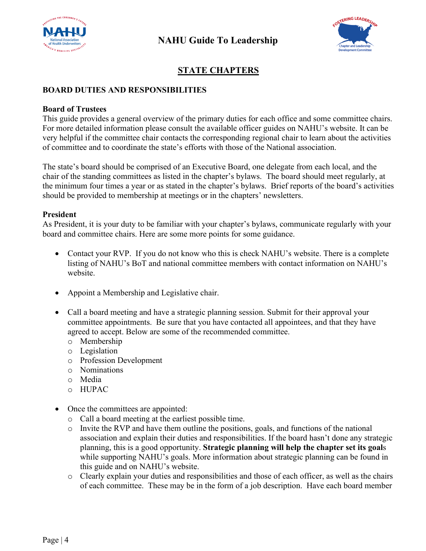



## **STATE CHAPTERS**

#### **BOARD DUTIES AND RESPONSIBILITIES**

#### **Board of Trustees**

This guide provides a general overview of the primary duties for each office and some committee chairs. For more detailed information please consult the available officer guides on NAHU's website. It can be very helpful if the committee chair contacts the corresponding regional chair to learn about the activities of committee and to coordinate the state's efforts with those of the National association.

The state's board should be comprised of an Executive Board, one delegate from each local, and the chair of the standing committees as listed in the chapter's bylaws. The board should meet regularly, at the minimum four times a year or as stated in the chapter's bylaws. Brief reports of the board's activities should be provided to membership at meetings or in the chapters' newsletters.

#### **President**

As President, it is your duty to be familiar with your chapter's bylaws, communicate regularly with your board and committee chairs. Here are some more points for some guidance.

- Contact your RVP. If you do not know who this is check NAHU's website. There is a complete listing of NAHU's BoT and national committee members with contact information on NAHU's website.
- Appoint a Membership and Legislative chair.
- Call a board meeting and have a strategic planning session. Submit for their approval your committee appointments. Be sure that you have contacted all appointees, and that they have agreed to accept. Below are some of the recommended committee.
	- o Membership
	- o Legislation
	- o Profession Development
	- o Nominations
	- o Media
	- o HUPAC
- Once the committees are appointed:
	- o Call a board meeting at the earliest possible time.
	- o Invite the RVP and have them outline the positions, goals, and functions of the national association and explain their duties and responsibilities. If the board hasn't done any strategic planning, this is a good opportunity. **Strategic planning will help the chapter set its goal**s while supporting NAHU's goals. More information about strategic planning can be found in this guide and on NAHU's website.
	- o Clearly explain your duties and responsibilities and those of each officer, as well as the chairs of each committee. These may be in the form of a job description. Have each board member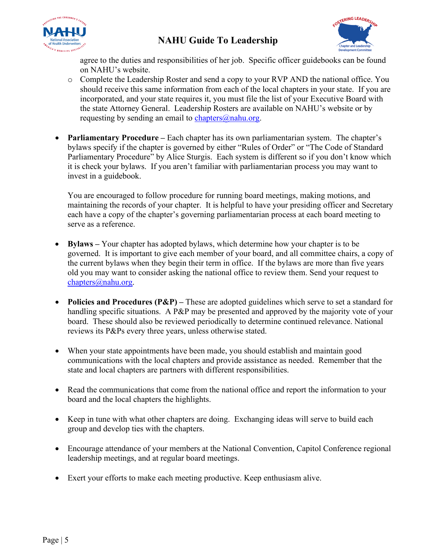



agree to the duties and responsibilities of her job. Specific officer guidebooks can be found on NAHU's website.

- o Complete the Leadership Roster and send a copy to your RVP AND the national office. You should receive this same information from each of the local chapters in your state. If you are incorporated, and your state requires it, you must file the list of your Executive Board with the state Attorney General. Leadership Rosters are available on NAHU's website or by requesting by sending an email to chapters $@$ nahu.org.
- **Parliamentary Procedure** Each chapter has its own parliamentarian system. The chapter's bylaws specify if the chapter is governed by either "Rules of Order" or "The Code of Standard Parliamentary Procedure" by Alice Sturgis. Each system is different so if you don't know which it is check your bylaws. If you aren't familiar with parliamentarian process you may want to invest in a guidebook.

You are encouraged to follow procedure for running board meetings, making motions, and maintaining the records of your chapter. It is helpful to have your presiding officer and Secretary each have a copy of the chapter's governing parliamentarian process at each board meeting to serve as a reference.

- **Bylaws –** Your chapter has adopted bylaws, which determine how your chapter is to be governed. It is important to give each member of your board, and all committee chairs, a copy of the current bylaws when they begin their term in office. If the bylaws are more than five years old you may want to consider asking the national office to review them. Send your request to [chapters@nahu.org.](mailto:chapters@nahu.org)
- **Policies and Procedures (P&P) –** These are adopted guidelines which serve to set a standard for handling specific situations. A P&P may be presented and approved by the majority vote of your board. These should also be reviewed periodically to determine continued relevance. National reviews its P&Ps every three years, unless otherwise stated.
- When your state appointments have been made, you should establish and maintain good communications with the local chapters and provide assistance as needed. Remember that the state and local chapters are partners with different responsibilities.
- Read the communications that come from the national office and report the information to your board and the local chapters the highlights.
- Keep in tune with what other chapters are doing. Exchanging ideas will serve to build each group and develop ties with the chapters.
- Encourage attendance of your members at the National Convention, Capitol Conference regional leadership meetings, and at regular board meetings.
- Exert your efforts to make each meeting productive. Keep enthusiasm alive.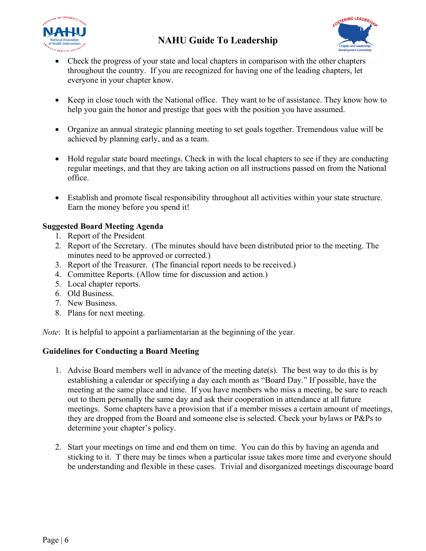



- Check the progress of your state and local chapters in comparison with the other chapters throughout the country. If you are recognized for having one of the leading chapters, let everyone in your chapter know.
- Keep in close touch with the National office. They want to be of assistance. They know how to help you gain the honor and prestige that goes with the position you have assumed.
- Organize an annual strategic planning meeting to set goals together. Tremendous value will be achieved by planning early, and as a team.
- Hold regular state board meetings. Check in with the local chapters to see if they are conducting regular meetings, and that they are taking action on all instructions passed on from the National office.
- Establish and promote fiscal responsibility throughout all activities within your state structure. Earn the money before you spend it!

#### **Suggested Board Meeting Agenda**

- 1. Report of the President
- 2. Report of the Secretary. (The minutes should have been distributed prior to the meeting. The minutes need to be approved or corrected.)
- 3. Report of the Treasurer. (The financial report needs to be received.)
- 4. Committee Reports. (Allow time for discussion and action.)
- 5. Local chapter reports.
- 6. Old Business.
- 7. New Business.
- 8. Plans for next meeting.

*Note*: It is helpful to appoint a parliamentarian at the beginning of the year.

#### **Guidelines for Conducting a Board Meeting**

- 1. Advise Board members well in advance of the meeting date(s). The best way to do this is by establishing a calendar or specifying a day each month as "Board Day." If possible, have the meeting at the same place and time. If you have members who miss a meeting, be sure to reach out to them personally the same day and ask their cooperation in attendance at all future meetings. Some chapters have a provision that if a member misses a certain amount of meetings, they are dropped from the Board and someone else is selected. Check your bylaws or P&Ps to determine your chapter's policy.
- 2. Start your meetings on time and end them on time. You can do this by having an agenda and sticking to it. T there may be times when a particular issue takes more time and everyone should be understanding and flexible in these cases. Trivial and disorganized meetings discourage board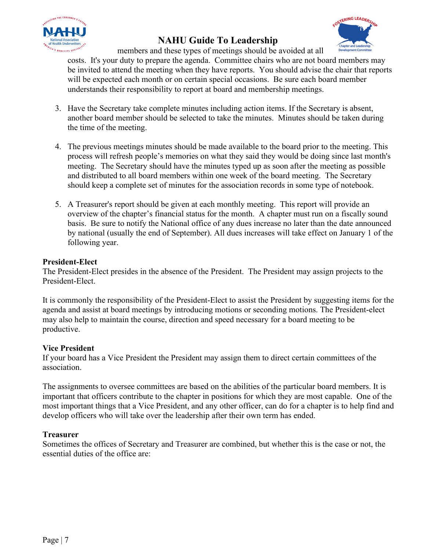



members and these types of meetings should be avoided at all

costs. It's your duty to prepare the agenda. Committee chairs who are not board members may be invited to attend the meeting when they have reports. You should advise the chair that reports will be expected each month or on certain special occasions. Be sure each board member understands their responsibility to report at board and membership meetings.

- 3. Have the Secretary take complete minutes including action items. If the Secretary is absent, another board member should be selected to take the minutes. Minutes should be taken during the time of the meeting.
- 4. The previous meetings minutes should be made available to the board prior to the meeting. This process will refresh people's memories on what they said they would be doing since last month's meeting. The Secretary should have the minutes typed up as soon after the meeting as possible and distributed to all board members within one week of the board meeting. The Secretary should keep a complete set of minutes for the association records in some type of notebook.
- 5. A Treasurer's report should be given at each monthly meeting. This report will provide an overview of the chapter's financial status for the month. A chapter must run on a fiscally sound basis. Be sure to notify the National office of any dues increase no later than the date announced by national (usually the end of September). All dues increases will take effect on January 1 of the following year.

#### **President-Elect**

The President-Elect presides in the absence of the President. The President may assign projects to the President-Elect.

It is commonly the responsibility of the President-Elect to assist the President by suggesting items for the agenda and assist at board meetings by introducing motions or seconding motions. The President-elect may also help to maintain the course, direction and speed necessary for a board meeting to be productive.

#### **Vice President**

If your board has a Vice President the President may assign them to direct certain committees of the association.

The assignments to oversee committees are based on the abilities of the particular board members. It is important that officers contribute to the chapter in positions for which they are most capable. One of the most important things that a Vice President, and any other officer, can do for a chapter is to help find and develop officers who will take over the leadership after their own term has ended.

#### **Treasurer**

Sometimes the offices of Secretary and Treasurer are combined, but whether this is the case or not, the essential duties of the office are: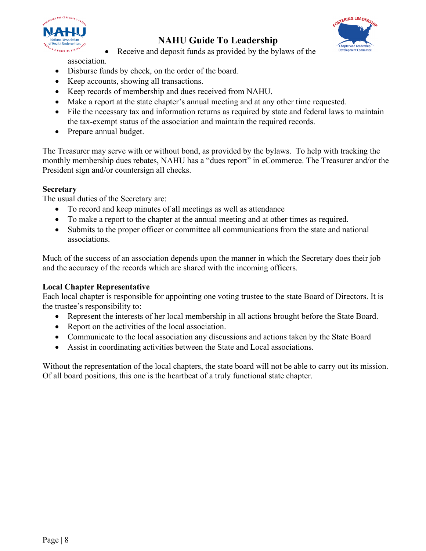



• Receive and deposit funds as provided by the bylaws of the association.

- Disburse funds by check, on the order of the board.
- Keep accounts, showing all transactions.
- Keep records of membership and dues received from NAHU.
- Make a report at the state chapter's annual meeting and at any other time requested.
- File the necessary tax and information returns as required by state and federal laws to maintain the tax-exempt status of the association and maintain the required records.
- Prepare annual budget.

The Treasurer may serve with or without bond, as provided by the bylaws. To help with tracking the monthly membership dues rebates, NAHU has a "dues report" in eCommerce. The Treasurer and/or the President sign and/or countersign all checks.

#### **Secretary**

The usual duties of the Secretary are:

- To record and keep minutes of all meetings as well as attendance
- To make a report to the chapter at the annual meeting and at other times as required.
- Submits to the proper officer or committee all communications from the state and national associations.

Much of the success of an association depends upon the manner in which the Secretary does their job and the accuracy of the records which are shared with the incoming officers.

#### **Local Chapter Representative**

Each local chapter is responsible for appointing one voting trustee to the state Board of Directors. It is the trustee's responsibility to:

- Represent the interests of her local membership in all actions brought before the State Board.
- Report on the activities of the local association.
- Communicate to the local association any discussions and actions taken by the State Board
- Assist in coordinating activities between the State and Local associations.

Without the representation of the local chapters, the state board will not be able to carry out its mission. Of all board positions, this one is the heartbeat of a truly functional state chapter.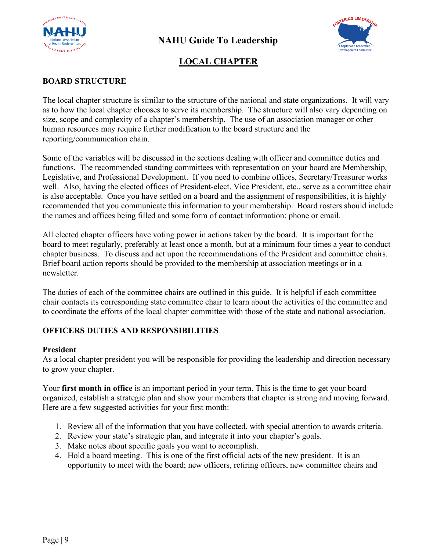



## **LOCAL CHAPTER**

#### **BOARD STRUCTURE**

The local chapter structure is similar to the structure of the national and state organizations. It will vary as to how the local chapter chooses to serve its membership. The structure will also vary depending on size, scope and complexity of a chapter's membership. The use of an association manager or other human resources may require further modification to the board structure and the reporting/communication chain.

Some of the variables will be discussed in the sections dealing with officer and committee duties and functions. The recommended standing committees with representation on your board are Membership, Legislative, and Professional Development. If you need to combine offices, Secretary/Treasurer works well. Also, having the elected offices of President-elect, Vice President, etc., serve as a committee chair is also acceptable. Once you have settled on a board and the assignment of responsibilities, it is highly recommended that you communicate this information to your membership. Board rosters should include the names and offices being filled and some form of contact information: phone or email.

All elected chapter officers have voting power in actions taken by the board. It is important for the board to meet regularly, preferably at least once a month, but at a minimum four times a year to conduct chapter business. To discuss and act upon the recommendations of the President and committee chairs. Brief board action reports should be provided to the membership at association meetings or in a newsletter.

The duties of each of the committee chairs are outlined in this guide. It is helpful if each committee chair contacts its corresponding state committee chair to learn about the activities of the committee and to coordinate the efforts of the local chapter committee with those of the state and national association.

#### **OFFICERS DUTIES AND RESPONSIBILITIES**

#### **President**

As a local chapter president you will be responsible for providing the leadership and direction necessary to grow your chapter.

Your **first month in office** is an important period in your term. This is the time to get your board organized, establish a strategic plan and show your members that chapter is strong and moving forward. Here are a few suggested activities for your first month:

- 1. Review all of the information that you have collected, with special attention to awards criteria.
- 2. Review your state's strategic plan, and integrate it into your chapter's goals.
- 3. Make notes about specific goals you want to accomplish.
- 4. Hold a board meeting. This is one of the first official acts of the new president. It is an opportunity to meet with the board; new officers, retiring officers, new committee chairs and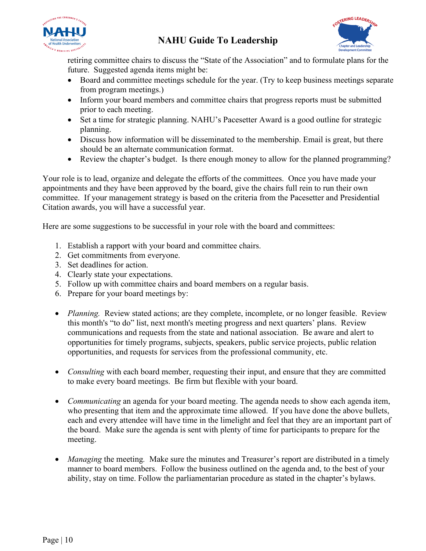



retiring committee chairs to discuss the "State of the Association" and to formulate plans for the future. Suggested agenda items might be:

- Board and committee meetings schedule for the year. (Try to keep business meetings separate from program meetings.)
- Inform your board members and committee chairs that progress reports must be submitted prior to each meeting.
- Set a time for strategic planning. NAHU's Pacesetter Award is a good outline for strategic planning.
- Discuss how information will be disseminated to the membership. Email is great, but there should be an alternate communication format.
- Review the chapter's budget. Is there enough money to allow for the planned programming?

Your role is to lead, organize and delegate the efforts of the committees. Once you have made your appointments and they have been approved by the board, give the chairs full rein to run their own committee. If your management strategy is based on the criteria from the Pacesetter and Presidential Citation awards, you will have a successful year.

Here are some suggestions to be successful in your role with the board and committees:

- 1. Establish a rapport with your board and committee chairs.
- 2. Get commitments from everyone.
- 3. Set deadlines for action.
- 4. Clearly state your expectations.
- 5. Follow up with committee chairs and board members on a regular basis.
- 6. Prepare for your board meetings by:
- *Planning.* Review stated actions; are they complete, incomplete, or no longer feasible. Review this month's "to do" list, next month's meeting progress and next quarters' plans. Review communications and requests from the state and national association. Be aware and alert to opportunities for timely programs, subjects, speakers, public service projects, public relation opportunities, and requests for services from the professional community, etc.
- *Consulting* with each board member, requesting their input, and ensure that they are committed to make every board meetings. Be firm but flexible with your board.
- *Communicating* an agenda for your board meeting. The agenda needs to show each agenda item, who presenting that item and the approximate time allowed. If you have done the above bullets, each and every attendee will have time in the limelight and feel that they are an important part of the board. Make sure the agenda is sent with plenty of time for participants to prepare for the meeting.
- *Managing* the meeting. Make sure the minutes and Treasurer's report are distributed in a timely manner to board members. Follow the business outlined on the agenda and, to the best of your ability, stay on time. Follow the parliamentarian procedure as stated in the chapter's bylaws.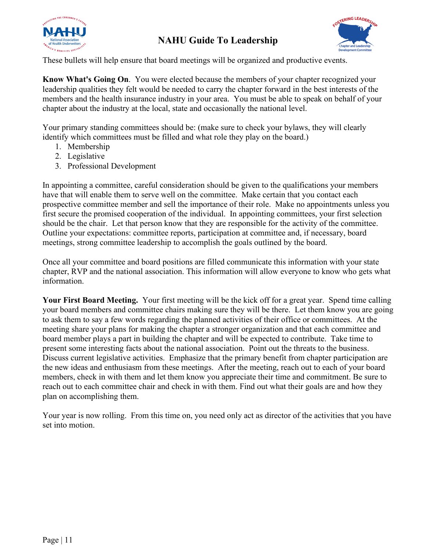



These bullets will help ensure that board meetings will be organized and productive events.

**Know What's Going On**. You were elected because the members of your chapter recognized your leadership qualities they felt would be needed to carry the chapter forward in the best interests of the members and the health insurance industry in your area. You must be able to speak on behalf of your chapter about the industry at the local, state and occasionally the national level.

Your primary standing committees should be: (make sure to check your bylaws, they will clearly identify which committees must be filled and what role they play on the board.)

- 1. Membership
- 2. Legislative
- 3. Professional Development

In appointing a committee, careful consideration should be given to the qualifications your members have that will enable them to serve well on the committee. Make certain that you contact each prospective committee member and sell the importance of their role. Make no appointments unless you first secure the promised cooperation of the individual. In appointing committees, your first selection should be the chair. Let that person know that they are responsible for the activity of the committee. Outline your expectations: committee reports, participation at committee and, if necessary, board meetings, strong committee leadership to accomplish the goals outlined by the board.

Once all your committee and board positions are filled communicate this information with your state chapter, RVP and the national association. This information will allow everyone to know who gets what information.

**Your First Board Meeting.** Your first meeting will be the kick off for a great year. Spend time calling your board members and committee chairs making sure they will be there. Let them know you are going to ask them to say a few words regarding the planned activities of their office or committees. At the meeting share your plans for making the chapter a stronger organization and that each committee and board member plays a part in building the chapter and will be expected to contribute. Take time to present some interesting facts about the national association. Point out the threats to the business. Discuss current legislative activities. Emphasize that the primary benefit from chapter participation are the new ideas and enthusiasm from these meetings. After the meeting, reach out to each of your board members, check in with them and let them know you appreciate their time and commitment. Be sure to reach out to each committee chair and check in with them. Find out what their goals are and how they plan on accomplishing them.

Your year is now rolling. From this time on, you need only act as director of the activities that you have set into motion.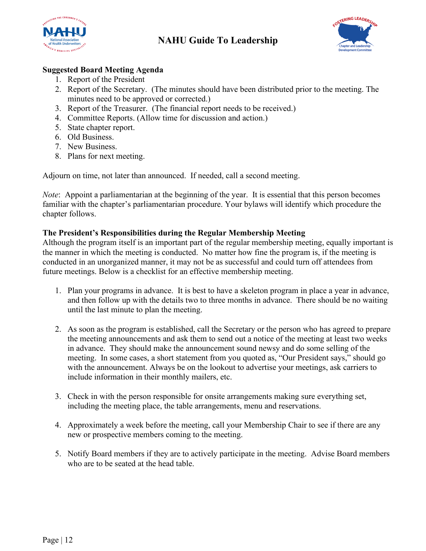



#### **Suggested Board Meeting Agenda**

- 1. Report of the President
- 2. Report of the Secretary. (The minutes should have been distributed prior to the meeting. The minutes need to be approved or corrected.)
- 3. Report of the Treasurer. (The financial report needs to be received.)
- 4. Committee Reports. (Allow time for discussion and action.)
- 5. State chapter report.
- 6. Old Business.
- 7. New Business.
- 8. Plans for next meeting.

Adjourn on time, not later than announced. If needed, call a second meeting.

*Note*: Appoint a parliamentarian at the beginning of the year. It is essential that this person becomes familiar with the chapter's parliamentarian procedure. Your bylaws will identify which procedure the chapter follows.

#### **The President's Responsibilities during the Regular Membership Meeting**

Although the program itself is an important part of the regular membership meeting, equally important is the manner in which the meeting is conducted. No matter how fine the program is, if the meeting is conducted in an unorganized manner, it may not be as successful and could turn off attendees from future meetings. Below is a checklist for an effective membership meeting.

- 1. Plan your programs in advance. It is best to have a skeleton program in place a year in advance, and then follow up with the details two to three months in advance. There should be no waiting until the last minute to plan the meeting.
- 2. As soon as the program is established, call the Secretary or the person who has agreed to prepare the meeting announcements and ask them to send out a notice of the meeting at least two weeks in advance. They should make the announcement sound newsy and do some selling of the meeting. In some cases, a short statement from you quoted as, "Our President says," should go with the announcement. Always be on the lookout to advertise your meetings, ask carriers to include information in their monthly mailers, etc.
- 3. Check in with the person responsible for onsite arrangements making sure everything set, including the meeting place, the table arrangements, menu and reservations.
- 4. Approximately a week before the meeting, call your Membership Chair to see if there are any new or prospective members coming to the meeting.
- 5. Notify Board members if they are to actively participate in the meeting. Advise Board members who are to be seated at the head table.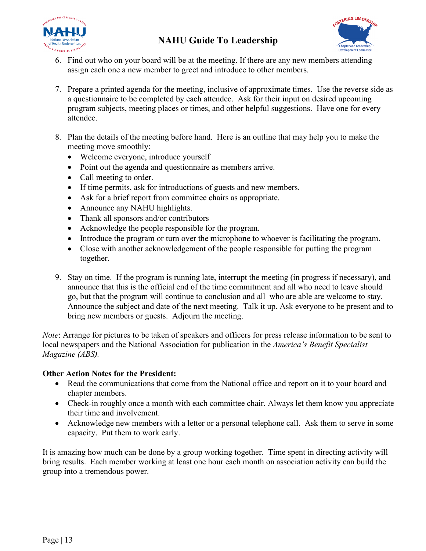



- 6. Find out who on your board will be at the meeting. If there are any new members attending assign each one a new member to greet and introduce to other members.
- 7. Prepare a printed agenda for the meeting, inclusive of approximate times. Use the reverse side as a questionnaire to be completed by each attendee. Ask for their input on desired upcoming program subjects, meeting places or times, and other helpful suggestions. Have one for every attendee.
- 8. Plan the details of the meeting before hand. Here is an outline that may help you to make the meeting move smoothly:
	- Welcome everyone, introduce yourself
	- Point out the agenda and questionnaire as members arrive.
	- Call meeting to order.
	- If time permits, ask for introductions of guests and new members.
	- Ask for a brief report from committee chairs as appropriate.
	- Announce any NAHU highlights.
	- Thank all sponsors and/or contributors
	- Acknowledge the people responsible for the program.
	- Introduce the program or turn over the microphone to whoever is facilitating the program.
	- Close with another acknowledgement of the people responsible for putting the program together.
- 9. Stay on time. If the program is running late, interrupt the meeting (in progress if necessary), and announce that this is the official end of the time commitment and all who need to leave should go, but that the program will continue to conclusion and all who are able are welcome to stay. Announce the subject and date of the next meeting. Talk it up. Ask everyone to be present and to bring new members or guests. Adjourn the meeting.

*Note*: Arrange for pictures to be taken of speakers and officers for press release information to be sent to local newspapers and the National Association for publication in the *America's Benefit Specialist Magazine (ABS).*

#### **Other Action Notes for the President:**

- Read the communications that come from the National office and report on it to your board and chapter members.
- Check-in roughly once a month with each committee chair. Always let them know you appreciate their time and involvement.
- Acknowledge new members with a letter or a personal telephone call. Ask them to serve in some capacity. Put them to work early.

It is amazing how much can be done by a group working together. Time spent in directing activity will bring results. Each member working at least one hour each month on association activity can build the group into a tremendous power.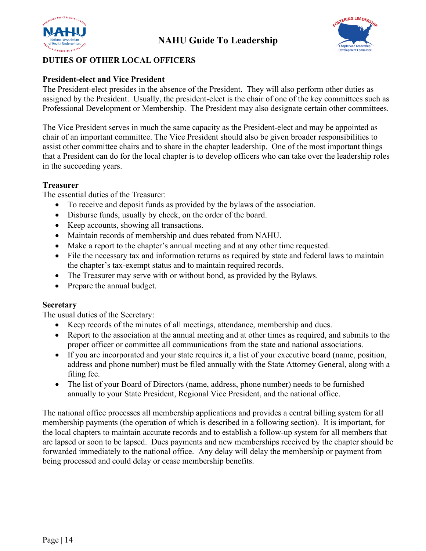



#### **DUTIES OF OTHER LOCAL OFFICERS**

#### **President-elect and Vice President**

The President-elect presides in the absence of the President. They will also perform other duties as assigned by the President. Usually, the president-elect is the chair of one of the key committees such as Professional Development or Membership. The President may also designate certain other committees.

The Vice President serves in much the same capacity as the President-elect and may be appointed as chair of an important committee. The Vice President should also be given broader responsibilities to assist other committee chairs and to share in the chapter leadership. One of the most important things that a President can do for the local chapter is to develop officers who can take over the leadership roles in the succeeding years.

#### **Treasurer**

The essential duties of the Treasurer:

- To receive and deposit funds as provided by the bylaws of the association.
- Disburse funds, usually by check, on the order of the board.
- Keep accounts, showing all transactions.
- Maintain records of membership and dues rebated from NAHU.
- Make a report to the chapter's annual meeting and at any other time requested.
- File the necessary tax and information returns as required by state and federal laws to maintain the chapter's tax-exempt status and to maintain required records.
- The Treasurer may serve with or without bond, as provided by the Bylaws.
- Prepare the annual budget.

#### **Secretary**

The usual duties of the Secretary:

- Keep records of the minutes of all meetings, attendance, membership and dues.
- Report to the association at the annual meeting and at other times as required, and submits to the proper officer or committee all communications from the state and national associations.
- If you are incorporated and your state requires it, a list of your executive board (name, position, address and phone number) must be filed annually with the State Attorney General, along with a filing fee.
- The list of your Board of Directors (name, address, phone number) needs to be furnished annually to your State President, Regional Vice President, and the national office.

The national office processes all membership applications and provides a central billing system for all membership payments (the operation of which is described in a following section). It is important, for the local chapters to maintain accurate records and to establish a follow-up system for all members that are lapsed or soon to be lapsed. Dues payments and new memberships received by the chapter should be forwarded immediately to the national office. Any delay will delay the membership or payment from being processed and could delay or cease membership benefits.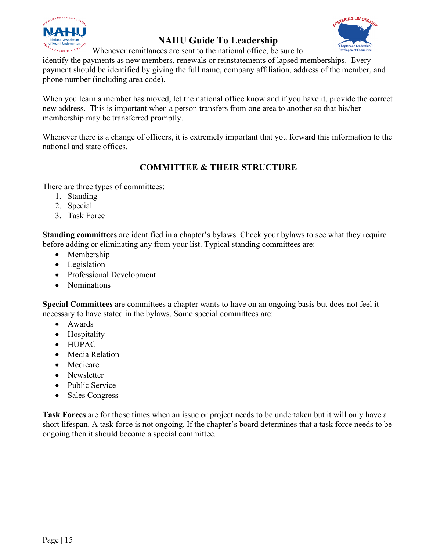



Whenever remittances are sent to the national office, be sure to

identify the payments as new members, renewals or reinstatements of lapsed memberships. Every payment should be identified by giving the full name, company affiliation, address of the member, and phone number (including area code).

When you learn a member has moved, let the national office know and if you have it, provide the correct new address. This is important when a person transfers from one area to another so that his/her membership may be transferred promptly.

Whenever there is a change of officers, it is extremely important that you forward this information to the national and state offices.

## **COMMITTEE & THEIR STRUCTURE**

There are three types of committees:

- 1. Standing
- 2. Special
- 3. Task Force

**Standing committees** are identified in a chapter's bylaws. Check your bylaws to see what they require before adding or eliminating any from your list. Typical standing committees are:

- Membership
- Legislation
- Professional Development
- Nominations

**Special Committees** are committees a chapter wants to have on an ongoing basis but does not feel it necessary to have stated in the bylaws. Some special committees are:

- Awards
- Hospitality
- HUPAC
- Media Relation
- Medicare
- Newsletter
- Public Service
- Sales Congress

**Task Forces** are for those times when an issue or project needs to be undertaken but it will only have a short lifespan. A task force is not ongoing. If the chapter's board determines that a task force needs to be ongoing then it should become a special committee.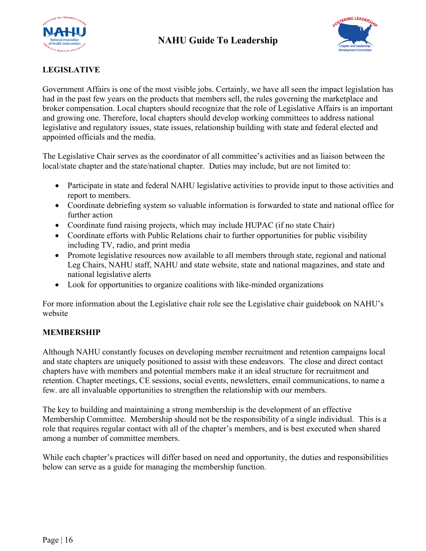



#### **LEGISLATIVE**

Government Affairs is one of the most visible jobs. Certainly, we have all seen the impact legislation has had in the past few years on the products that members sell, the rules governing the marketplace and broker compensation. Local chapters should recognize that the role of Legislative Affairs is an important and growing one. Therefore, local chapters should develop working committees to address national legislative and regulatory issues, state issues, relationship building with state and federal elected and appointed officials and the media.

The Legislative Chair serves as the coordinator of all committee's activities and as liaison between the local/state chapter and the state/national chapter. Duties may include, but are not limited to:

- Participate in state and federal NAHU legislative activities to provide input to those activities and report to members.
- Coordinate debriefing system so valuable information is forwarded to state and national office for further action
- Coordinate fund raising projects, which may include HUPAC (if no state Chair)
- Coordinate efforts with Public Relations chair to further opportunities for public visibility including TV, radio, and print media
- Promote legislative resources now available to all members through state, regional and national Leg Chairs, NAHU staff, NAHU and state website, state and national magazines, and state and national legislative alerts
- Look for opportunities to organize coalitions with like-minded organizations

For more information about the Legislative chair role see the Legislative chair guidebook on NAHU's website

#### **MEMBERSHIP**

Although NAHU constantly focuses on developing member recruitment and retention campaigns local and state chapters are uniquely positioned to assist with these endeavors. The close and direct contact chapters have with members and potential members make it an ideal structure for recruitment and retention. Chapter meetings, CE sessions, social events, newsletters, email communications, to name a few. are all invaluable opportunities to strengthen the relationship with our members.

The key to building and maintaining a strong membership is the development of an effective Membership Committee. Membership should not be the responsibility of a single individual. This is a role that requires regular contact with all of the chapter's members, and is best executed when shared among a number of committee members.

While each chapter's practices will differ based on need and opportunity, the duties and responsibilities below can serve as a guide for managing the membership function.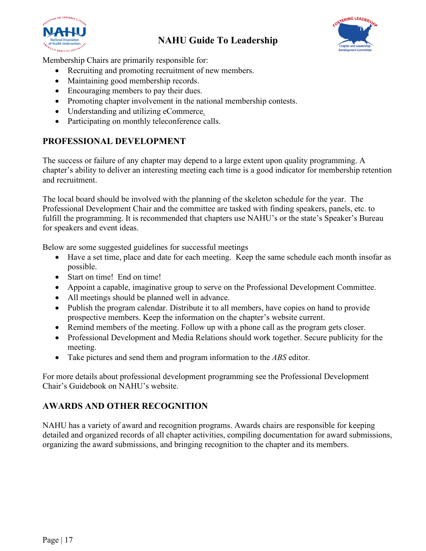



Membership Chairs are primarily responsible for:

- Recruiting and promoting recruitment of new members.
- Maintaining good membership records.
- Encouraging members to pay their dues.
- Promoting chapter involvement in the national membership contests.
- Understanding and utilizing eCommerce*.*
- Participating on monthly teleconference calls.

## **PROFESSIONAL DEVELOPMENT**

The success or failure of any chapter may depend to a large extent upon quality programming. A chapter's ability to deliver an interesting meeting each time is a good indicator for membership retention and recruitment.

The local board should be involved with the planning of the skeleton schedule for the year. The Professional Development Chair and the committee are tasked with finding speakers, panels, etc. to fulfill the programming. It is recommended that chapters use NAHU's or the state's Speaker's Bureau for speakers and event ideas.

Below are some suggested guidelines for successful meetings

- Have a set time, place and date for each meeting. Keep the same schedule each month insofar as possible.
- Start on time! End on time!
- Appoint a capable, imaginative group to serve on the Professional Development Committee.
- All meetings should be planned well in advance.
- Publish the program calendar. Distribute it to all members, have copies on hand to provide prospective members. Keep the information on the chapter's website current.
- Remind members of the meeting. Follow up with a phone call as the program gets closer.
- Professional Development and Media Relations should work together. Secure publicity for the meeting.
- Take pictures and send them and program information to the *ABS* editor.

For more details about professional development programming see the Professional Development Chair's Guidebook on NAHU's website.

## **AWARDS AND OTHER RECOGNITION**

NAHU has a variety of award and recognition programs. Awards chairs are responsible for keeping detailed and organized records of all chapter activities, compiling documentation for award submissions, organizing the award submissions, and bringing recognition to the chapter and its members.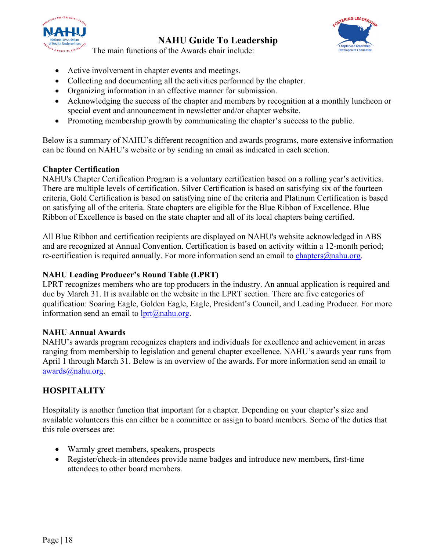



The main functions of the Awards chair include:

- Active involvement in chapter events and meetings.
- Collecting and documenting all the activities performed by the chapter.
- Organizing information in an effective manner for submission.
- Acknowledging the success of the chapter and members by recognition at a monthly luncheon or special event and announcement in newsletter and/or chapter website.
- Promoting membership growth by communicating the chapter's success to the public.

Below is a summary of NAHU's different recognition and awards programs, more extensive information can be found on NAHU's website or by sending an email as indicated in each section.

#### **Chapter Certification**

NAHU's Chapter Certification Program is a voluntary certification based on a rolling year's activities. There are multiple levels of certification. Silver Certification is based on satisfying six of the fourteen criteria, Gold Certification is based on satisfying nine of the criteria and Platinum Certification is based on satisfying all of the criteria. State chapters are eligible for the Blue Ribbon of Excellence. Blue Ribbon of Excellence is based on the state chapter and all of its local chapters being certified.

All Blue Ribbon and certification recipients are displayed on NAHU's website acknowledged in ABS and are recognized at Annual Convention. Certification is based on activity within a 12-month period; re-certification is required annually. For more information send an email to chapters $\omega$ nahu.org.

#### **NAHU Leading Producer's Round Table (LPRT)**

LPRT recognizes members who are top producers in the industry. An annual application is required and due by March 31. It is available on the website in the LPRT section. There are five categories of qualification: Soaring Eagle, Golden Eagle, Eagle, President's Council, and Leading Producer. For more information send an email to  $lprt@nahu.org$ .

#### **NAHU Annual Awards**

NAHU's awards program recognizes chapters and individuals for excellence and achievement in areas ranging from membership to legislation and general chapter excellence. NAHU's awards year runs from April 1 through March 31. Below is an overview of the awards. For more information send an email to [awards@nahu.org.](mailto:awards@nahu.org)

## **HOSPITALITY**

Hospitality is another function that important for a chapter. Depending on your chapter's size and available volunteers this can either be a committee or assign to board members. Some of the duties that this role oversees are:

- Warmly greet members, speakers, prospects
- Register/check-in attendees provide name badges and introduce new members, first-time attendees to other board members.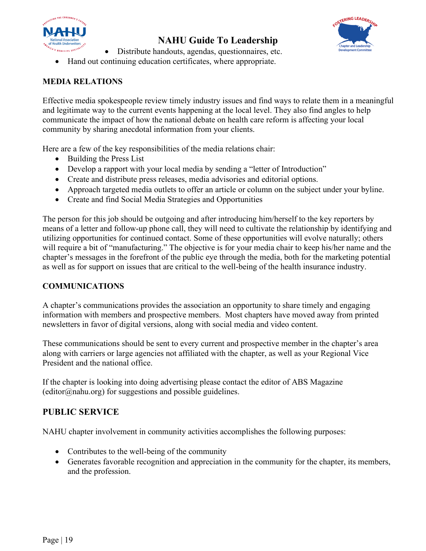



- Distribute handouts, agendas, questionnaires, etc.
- Hand out continuing education certificates, where appropriate.

#### **MEDIA RELATIONS**

Effective media spokespeople review timely industry issues and find ways to relate them in a meaningful and legitimate way to the current events happening at the local level. They also find angles to help communicate the impact of how the national debate on health care reform is affecting your local community by sharing anecdotal information from your clients.

Here are a few of the key responsibilities of the media relations chair:

- Building the Press List
- Develop a rapport with your local media by sending a "letter of Introduction"
- Create and distribute press releases, media advisories and editorial options.
- Approach targeted media outlets to offer an article or column on the subject under your byline.
- Create and find Social Media Strategies and Opportunities

The person for this job should be outgoing and after introducing him/herself to the key reporters by means of a letter and follow-up phone call, they will need to cultivate the relationship by identifying and utilizing opportunities for continued contact. Some of these opportunities will evolve naturally; others will require a bit of "manufacturing." The objective is for your media chair to keep his/her name and the chapter's messages in the forefront of the public eye through the media, both for the marketing potential as well as for support on issues that are critical to the well-being of the health insurance industry.

#### **COMMUNICATIONS**

A chapter's communications provides the association an opportunity to share timely and engaging information with members and prospective members. Most chapters have moved away from printed newsletters in favor of digital versions, along with social media and video content.

These communications should be sent to every current and prospective member in the chapter's area along with carriers or large agencies not affiliated with the chapter, as well as your Regional Vice President and the national office.

If the chapter is looking into doing advertising please contact the editor of ABS Magazine  $(editor@nahu.org)$  for suggestions and possible guidelines.

## **PUBLIC SERVICE**

NAHU chapter involvement in community activities accomplishes the following purposes:

- Contributes to the well-being of the community
- Generates favorable recognition and appreciation in the community for the chapter, its members, and the profession.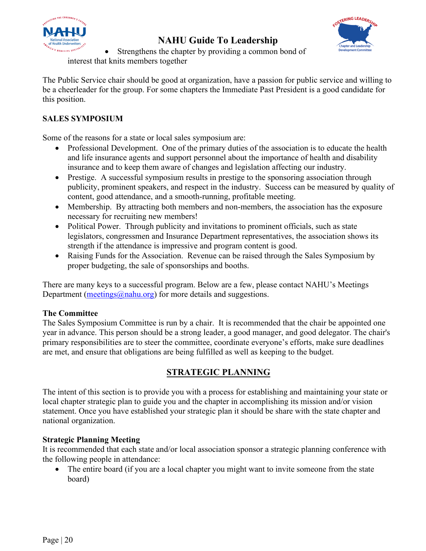



• Strengthens the chapter by providing a common bond of interest that knits members together

The Public Service chair should be good at organization, have a passion for public service and willing to be a cheerleader for the group. For some chapters the Immediate Past President is a good candidate for this position.

#### **SALES SYMPOSIUM**

Some of the reasons for a state or local sales symposium are:

- Professional Development. One of the primary duties of the association is to educate the health and life insurance agents and support personnel about the importance of health and disability insurance and to keep them aware of changes and legislation affecting our industry.
- Prestige. A successful symposium results in prestige to the sponsoring association through publicity, prominent speakers, and respect in the industry. Success can be measured by quality of content, good attendance, and a smooth-running, profitable meeting.
- Membership. By attracting both members and non-members, the association has the exposure necessary for recruiting new members!
- Political Power. Through publicity and invitations to prominent officials, such as state legislators, congressmen and Insurance Department representatives, the association shows its strength if the attendance is impressive and program content is good.
- Raising Funds for the Association. Revenue can be raised through the Sales Symposium by proper budgeting, the sale of sponsorships and booths.

There are many keys to a successful program. Below are a few, please contact NAHU's Meetings Department ( $\frac{meetings(\omega)$ nahu.org) for more details and suggestions.

#### **The Committee**

The Sales Symposium Committee is run by a chair. It is recommended that the chair be appointed one year in advance. This person should be a strong leader, a good manager, and good delegator. The chair's primary responsibilities are to steer the committee, coordinate everyone's efforts, make sure deadlines are met, and ensure that obligations are being fulfilled as well as keeping to the budget.

## **STRATEGIC PLANNING**

The intent of this section is to provide you with a process for establishing and maintaining your state or local chapter strategic plan to guide you and the chapter in accomplishing its mission and/or vision statement. Once you have established your strategic plan it should be share with the state chapter and national organization.

#### **Strategic Planning Meeting**

It is recommended that each state and/or local association sponsor a strategic planning conference with the following people in attendance:

The entire board (if you are a local chapter you might want to invite someone from the state board)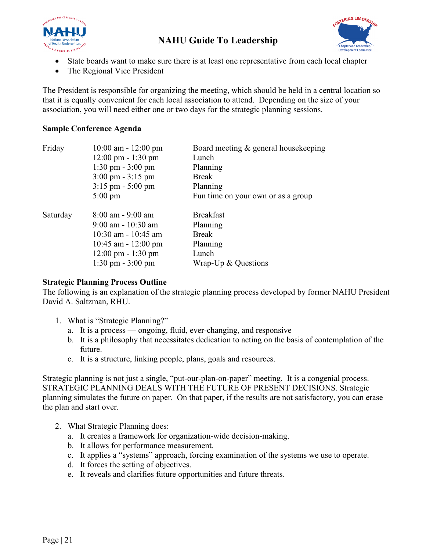



- State boards want to make sure there is at least one representative from each local chapter
- The Regional Vice President

The President is responsible for organizing the meeting, which should be held in a central location so that it is equally convenient for each local association to attend. Depending on the size of your association, you will need either one or two days for the strategic planning sessions.

#### **Sample Conference Agenda**

| Friday   | $10:00$ am $-12:00$ pm               | Board meeting & general housekeeping |
|----------|--------------------------------------|--------------------------------------|
|          | $12:00 \text{ pm} - 1:30 \text{ pm}$ | Lunch                                |
|          | $1:30 \text{ pm} - 3:00 \text{ pm}$  | Planning                             |
|          | $3:00 \text{ pm} - 3:15 \text{ pm}$  | <b>Break</b>                         |
|          | $3:15$ pm $-5:00$ pm                 | Planning                             |
|          | $5:00 \text{ pm}$                    | Fun time on your own or as a group   |
| Saturday | $8:00 \text{ am} - 9:00 \text{ am}$  | <b>Breakfast</b>                     |
|          | $9:00$ am - 10:30 am                 | Planning                             |
|          | $10:30$ am - $10:45$ am              | <b>Break</b>                         |
|          | $10:45$ am - $12:00$ pm              | Planning                             |
|          | $12:00 \text{ pm} - 1:30 \text{ pm}$ | Lunch                                |
|          | $1:30 \text{ pm} - 3:00 \text{ pm}$  | Wrap- $Up & Questions$               |
|          |                                      |                                      |

#### **Strategic Planning Process Outline**

The following is an explanation of the strategic planning process developed by former NAHU President David A. Saltzman, RHU.

- 1. What is "Strategic Planning?"
	- a. It is a process ongoing, fluid, ever-changing, and responsive
	- b. It is a philosophy that necessitates dedication to acting on the basis of contemplation of the future.
	- c. It is a structure, linking people, plans, goals and resources.

Strategic planning is not just a single, "put-our-plan-on-paper" meeting. It is a congenial process. STRATEGIC PLANNING DEALS WITH THE FUTURE OF PRESENT DECISIONS. Strategic planning simulates the future on paper. On that paper, if the results are not satisfactory, you can erase the plan and start over.

- 2. What Strategic Planning does:
	- a. It creates a framework for organization-wide decision-making.
	- b. It allows for performance measurement.
	- c. It applies a "systems" approach, forcing examination of the systems we use to operate.
	- d. It forces the setting of objectives.
	- e. It reveals and clarifies future opportunities and future threats.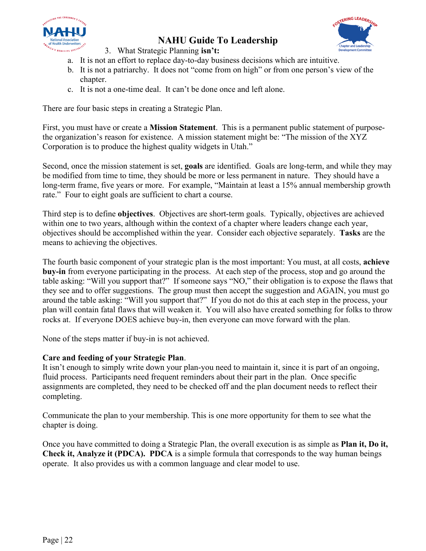



3. What Strategic Planning **isn't:**

- a. It is not an effort to replace day-to-day business decisions which are intuitive.
- b. It is not a patriarchy. It does not "come from on high" or from one person's view of the chapter.
- c. It is not a one-time deal. It can't be done once and left alone.

There are four basic steps in creating a Strategic Plan.

First, you must have or create a **Mission Statement**. This is a permanent public statement of purposethe organization's reason for existence. A mission statement might be: "The mission of the XYZ Corporation is to produce the highest quality widgets in Utah."

Second, once the mission statement is set, **goals** are identified. Goals are long-term, and while they may be modified from time to time, they should be more or less permanent in nature. They should have a long-term frame, five years or more. For example, "Maintain at least a 15% annual membership growth rate." Four to eight goals are sufficient to chart a course.

Third step is to define **objectives**. Objectives are short-term goals. Typically, objectives are achieved within one to two years, although within the context of a chapter where leaders change each year, objectives should be accomplished within the year. Consider each objective separately. **Tasks** are the means to achieving the objectives.

The fourth basic component of your strategic plan is the most important: You must, at all costs, **achieve buy-in** from everyone participating in the process. At each step of the process, stop and go around the table asking: "Will you support that?" If someone says "NO," their obligation is to expose the flaws that they see and to offer suggestions. The group must then accept the suggestion and AGAIN, you must go around the table asking: "Will you support that?" If you do not do this at each step in the process, your plan will contain fatal flaws that will weaken it. You will also have created something for folks to throw rocks at. If everyone DOES achieve buy-in, then everyone can move forward with the plan.

None of the steps matter if buy-in is not achieved.

#### **Care and feeding of your Strategic Plan**.

It isn't enough to simply write down your plan-you need to maintain it, since it is part of an ongoing, fluid process. Participants need frequent reminders about their part in the plan. Once specific assignments are completed, they need to be checked off and the plan document needs to reflect their completing.

Communicate the plan to your membership. This is one more opportunity for them to see what the chapter is doing.

Once you have committed to doing a Strategic Plan, the overall execution is as simple as **Plan it, Do it, Check it, Analyze it (PDCA). PDCA** is a simple formula that corresponds to the way human beings operate. It also provides us with a common language and clear model to use.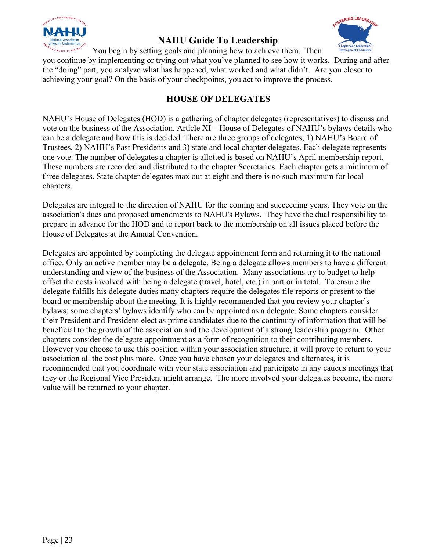



You begin by setting goals and planning how to achieve them. Then

you continue by implementing or trying out what you've planned to see how it works. During and after the "doing" part, you analyze what has happened, what worked and what didn't. Are you closer to achieving your goal? On the basis of your checkpoints, you act to improve the process.

## **HOUSE OF DELEGATES**

NAHU's House of Delegates (HOD) is a gathering of chapter delegates (representatives) to discuss and vote on the business of the Association. Article XI – House of Delegates of NAHU's bylaws details who can be a delegate and how this is decided. There are three groups of delegates; 1) NAHU's Board of Trustees, 2) NAHU's Past Presidents and 3) state and local chapter delegates. Each delegate represents one vote. The number of delegates a chapter is allotted is based on NAHU's April membership report. These numbers are recorded and distributed to the chapter Secretaries. Each chapter gets a minimum of three delegates. State chapter delegates max out at eight and there is no such maximum for local chapters.

Delegates are integral to the direction of NAHU for the coming and succeeding years. They vote on the association's dues and proposed amendments to NAHU's Bylaws. They have the dual responsibility to prepare in advance for the HOD and to report back to the membership on all issues placed before the House of Delegates at the Annual Convention.

Delegates are appointed by completing the delegate appointment form and returning it to the national office. Only an active member may be a delegate. Being a delegate allows members to have a different understanding and view of the business of the Association. Many associations try to budget to help offset the costs involved with being a delegate (travel, hotel, etc.) in part or in total. To ensure the delegate fulfills his delegate duties many chapters require the delegates file reports or present to the board or membership about the meeting. It is highly recommended that you review your chapter's bylaws; some chapters' bylaws identify who can be appointed as a delegate. Some chapters consider their President and President-elect as prime candidates due to the continuity of information that will be beneficial to the growth of the association and the development of a strong leadership program. Other chapters consider the delegate appointment as a form of recognition to their contributing members. However you choose to use this position within your association structure, it will prove to return to your association all the cost plus more. Once you have chosen your delegates and alternates, it is recommended that you coordinate with your state association and participate in any caucus meetings that they or the Regional Vice President might arrange. The more involved your delegates become, the more value will be returned to your chapter.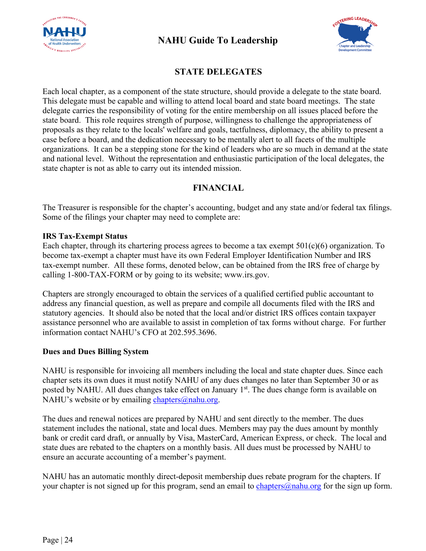



## **STATE DELEGATES**

Each local chapter, as a component of the state structure, should provide a delegate to the state board. This delegate must be capable and willing to attend local board and state board meetings. The state delegate carries the responsibility of voting for the entire membership on all issues placed before the state board. This role requires strength of purpose, willingness to challenge the appropriateness of proposals as they relate to the locals' welfare and goals, tactfulness, diplomacy, the ability to present a case before a board, and the dedication necessary to be mentally alert to all facets of the multiple organizations. It can be a stepping stone for the kind of leaders who are so much in demand at the state and national level. Without the representation and enthusiastic participation of the local delegates, the state chapter is not as able to carry out its intended mission.

#### **FINANCIAL**

The Treasurer is responsible for the chapter's accounting, budget and any state and/or federal tax filings. Some of the filings your chapter may need to complete are:

#### **IRS Tax-Exempt Status**

Each chapter, through its chartering process agrees to become a tax exempt  $501(c)(6)$  organization. To become tax-exempt a chapter must have its own Federal Employer Identification Number and IRS tax-exempt number. All these forms, denoted below, can be obtained from the IRS free of charge by calling 1-800-TAX-FORM or by going to its website; www.irs.gov.

Chapters are strongly encouraged to obtain the services of a qualified certified public accountant to address any financial question, as well as prepare and compile all documents filed with the IRS and statutory agencies. It should also be noted that the local and/or district IRS offices contain taxpayer assistance personnel who are available to assist in completion of tax forms without charge. For further information contact NAHU's CFO at 202.595.3696.

#### **Dues and Dues Billing System**

NAHU is responsible for invoicing all members including the local and state chapter dues. Since each chapter sets its own dues it must notify NAHU of any dues changes no later than September 30 or as posted by NAHU. All dues changes take effect on January 1<sup>st</sup>. The dues change form is available on NAHU's website or by emailing [chapters@nahu.org.](mailto:chapters@nahu.org)

The dues and renewal notices are prepared by NAHU and sent directly to the member. The dues statement includes the national, state and local dues. Members may pay the dues amount by monthly bank or credit card draft, or annually by Visa, MasterCard, American Express, or check. The local and state dues are rebated to the chapters on a monthly basis. All dues must be processed by NAHU to ensure an accurate accounting of a member's payment.

NAHU has an automatic monthly direct-deposit membership dues rebate program for the chapters. If your chapter is not signed up for this program, send an email to [chapters@nahu.org](mailto:chapters@nahu.org) for the sign up form.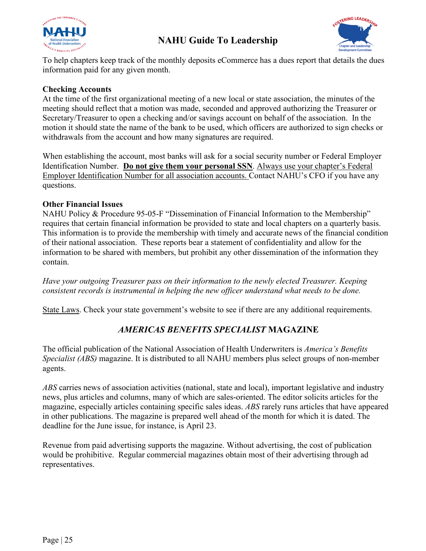



To help chapters keep track of the monthly deposits eCommerce has a dues report that details the dues information paid for any given month.

#### **Checking Accounts**

At the time of the first organizational meeting of a new local or state association, the minutes of the meeting should reflect that a motion was made, seconded and approved authorizing the Treasurer or Secretary/Treasurer to open a checking and/or savings account on behalf of the association. In the motion it should state the name of the bank to be used, which officers are authorized to sign checks or withdrawals from the account and how many signatures are required.

When establishing the account, most banks will ask for a social security number or Federal Employer Identification Number. **Do not give them your personal SSN**. Always use your chapter's Federal Employer Identification Number for all association accounts. Contact NAHU's CFO if you have any questions.

#### **Other Financial Issues**

NAHU Policy & Procedure 95-05-F "Dissemination of Financial Information to the Membership" requires that certain financial information be provided to state and local chapters on a quarterly basis. This information is to provide the membership with timely and accurate news of the financial condition of their national association. These reports bear a statement of confidentiality and allow for the information to be shared with members, but prohibit any other dissemination of the information they contain.

*Have your outgoing Treasurer pass on their information to the newly elected Treasurer. Keeping consistent records is instrumental in helping the new officer understand what needs to be done.*

State Laws. Check your state government's website to see if there are any additional requirements.

## *AMERICAS BENEFITS SPECIALIST* **MAGAZINE**

The official publication of the National Association of Health Underwriters is *America's Benefits Specialist (ABS)* magazine. It is distributed to all NAHU members plus select groups of non-member agents.

*ABS* carries news of association activities (national, state and local), important legislative and industry news, plus articles and columns, many of which are sales-oriented. The editor solicits articles for the magazine, especially articles containing specific sales ideas. *ABS* rarely runs articles that have appeared in other publications. The magazine is prepared well ahead of the month for which it is dated. The deadline for the June issue, for instance, is April 23.

Revenue from paid advertising supports the magazine. Without advertising, the cost of publication would be prohibitive. Regular commercial magazines obtain most of their advertising through ad representatives.